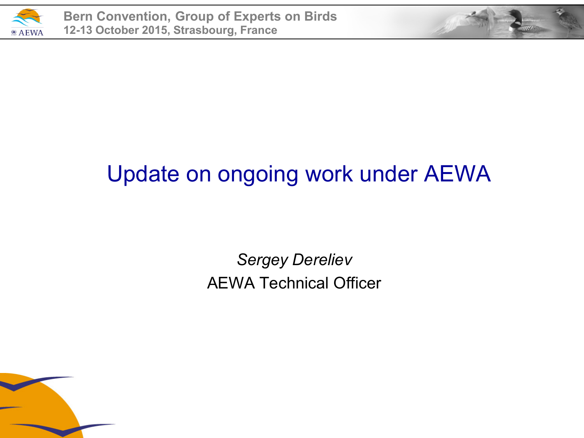

#### Update on ongoing work under AEWA

*Sergey Dereliev* AEWA Technical Officer

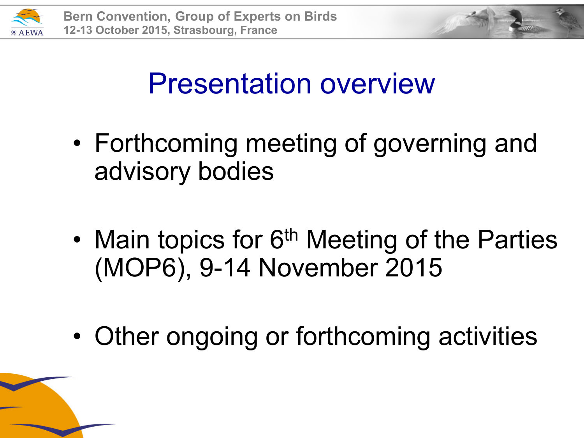



- Forthcoming meeting of governing and advisory bodies
- Main topics for 6<sup>th</sup> Meeting of the Parties (MOP6), 9-14 November 2015
- Other ongoing or forthcoming activities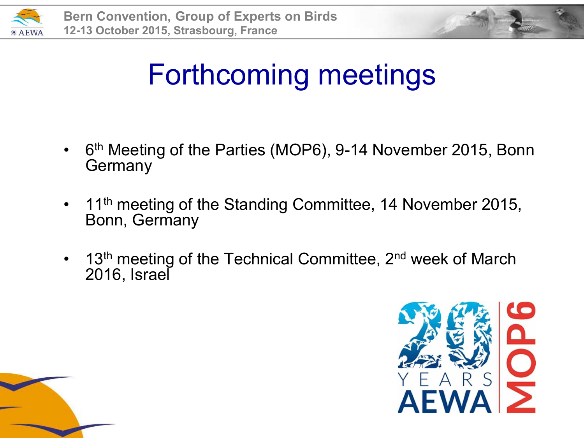



## Forthcoming meetings

- 6<sup>th</sup> Meeting of the Parties (MOP6), 9-14 November 2015, Bonn Germany
- 11<sup>th</sup> meeting of the Standing Committee, 14 November 2015, Bonn, Germany
- 13<sup>th</sup> meeting of the Technical Committee, 2<sup>nd</sup> week of March 2016, Israel



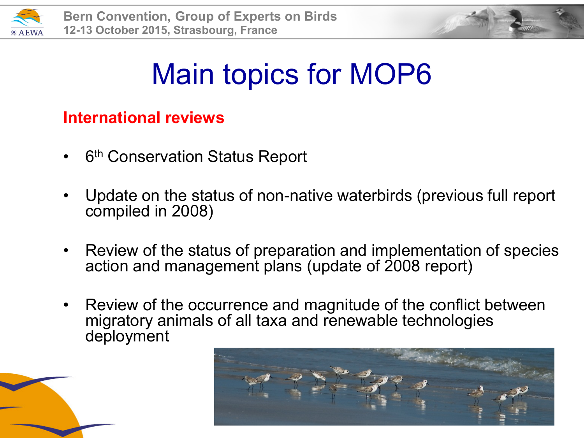



#### **International reviews**

- 6<sup>th</sup> Conservation Status Report
- Update on the status of non-native waterbirds (previous full report compiled in 2008)
- Review of the status of preparation and implementation of species action and management plans (update of 2008 report)
- Review of the occurrence and magnitude of the conflict between migratory animals of all taxa and renewable technologies deployment

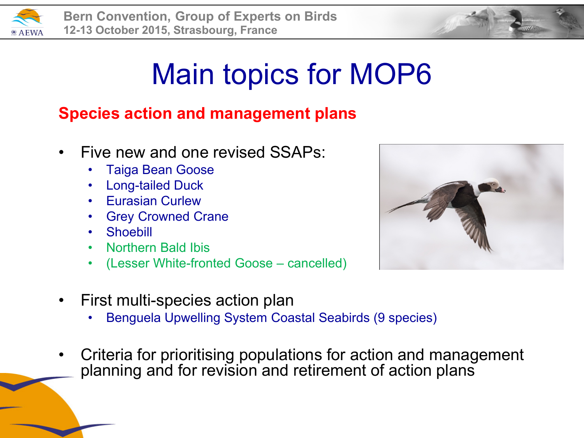

#### **Species action and management plans**

- Five new and one revised SSAPs:
	- Taiga Bean Goose
	- Long-tailed Duck
	- Eurasian Curlew
	- **Grey Crowned Crane**
	- Shoebill
	- Northern Bald Ibis
	- (Lesser White-fronted Goose cancelled)
- First multi-species action plan
	- Benguela Upwelling System Coastal Seabirds (9 species)
- Criteria for prioritising populations for action and management planning and for revision and retirement of action plans

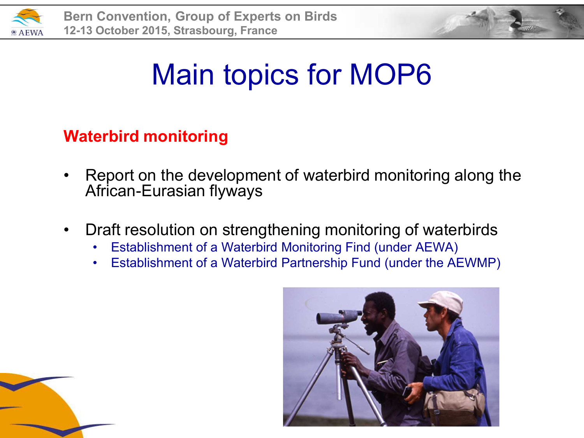



#### **Waterbird monitoring**

- Report on the development of waterbird monitoring along the African-Eurasian flyways
- Draft resolution on strengthening monitoring of waterbirds
	- Establishment of a Waterbird Monitoring Find (under AEWA)
	- Establishment of a Waterbird Partnership Fund (under the AEWMP)



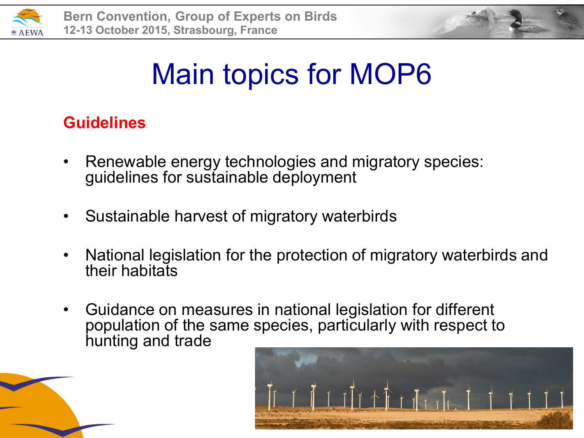



#### **Guidelines**

- Renewable energy technologies and migratory species: guidelines for sustainable deployment
- Sustainable harvest of migratory waterbirds
- National legislation for the protection of migratory waterbirds and their habitats
- Guidance on measures in national legislation for different population of the same species, particularly with respect to hunting and trade

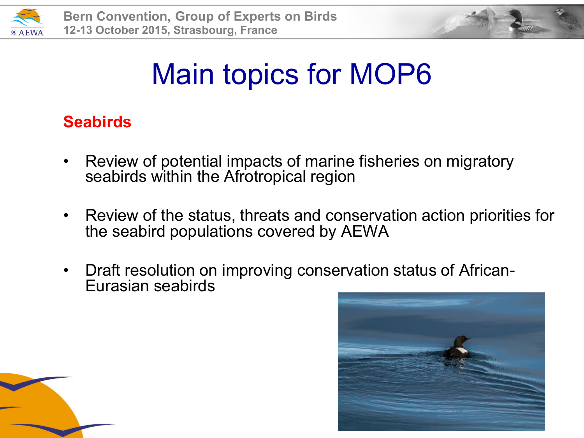



#### **Seabirds**

- Review of potential impacts of marine fisheries on migratory seabirds within the Afrotropical region
- Review of the status, threats and conservation action priorities for the seabird populations covered by AEWA
- Draft resolution on improving conservation status of African-Eurasian seabirds



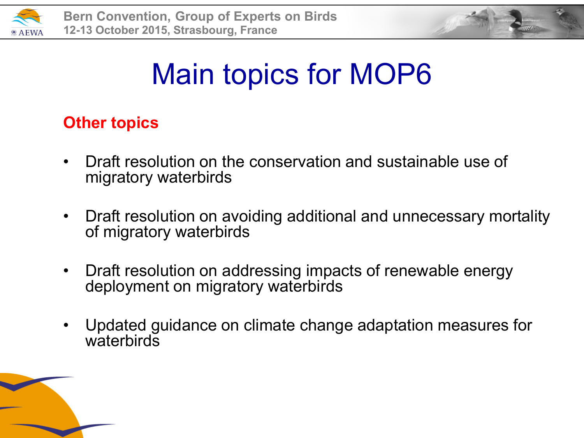



#### **Other topics**

- Draft resolution on the conservation and sustainable use of migratory waterbirds
- Draft resolution on avoiding additional and unnecessary mortality of migratory waterbirds
- Draft resolution on addressing impacts of renewable energy deployment on migratory waterbirds
- Updated guidance on climate change adaptation measures for waterbirds

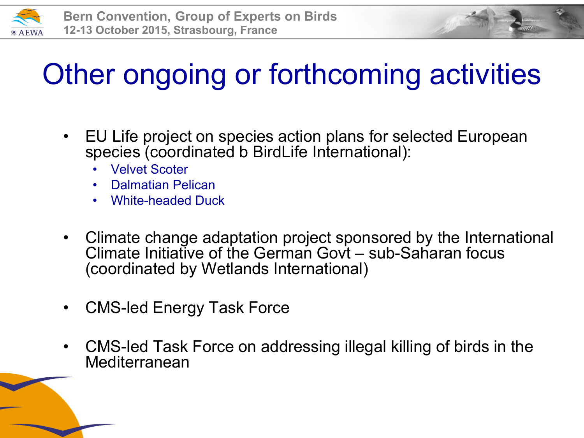

# Other ongoing or forthcoming activities

- EU Life project on species action plans for selected European species (coordinated b BirdLife International):
	- Velvet Scoter
	- Dalmatian Pelican
	- White-headed Duck
- Climate change adaptation project sponsored by the International Climate Initiative of the German Govt – sub-Saharan focus (coordinated by Wetlands International)
- CMS-led Energy Task Force
- CMS-led Task Force on addressing illegal killing of birds in the Mediterranean